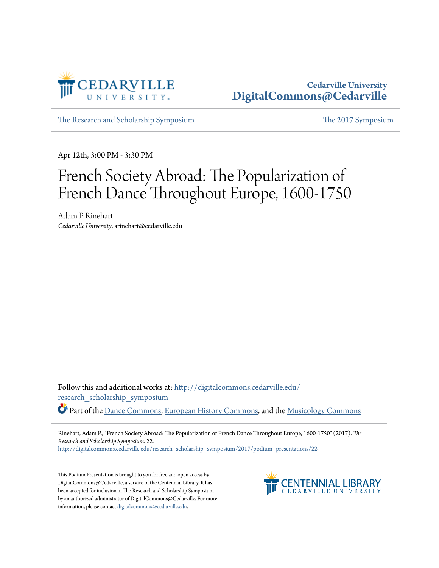

## **Cedarville University [DigitalCommons@Cedarville](http://digitalcommons.cedarville.edu?utm_source=digitalcommons.cedarville.edu%2Fresearch_scholarship_symposium%2F2017%2Fpodium_presentations%2F22&utm_medium=PDF&utm_campaign=PDFCoverPages)**

[The Research and Scholarship Symposium](http://digitalcommons.cedarville.edu/research_scholarship_symposium?utm_source=digitalcommons.cedarville.edu%2Fresearch_scholarship_symposium%2F2017%2Fpodium_presentations%2F22&utm_medium=PDF&utm_campaign=PDFCoverPages) [The 2017 Symposium](http://digitalcommons.cedarville.edu/research_scholarship_symposium/2017?utm_source=digitalcommons.cedarville.edu%2Fresearch_scholarship_symposium%2F2017%2Fpodium_presentations%2F22&utm_medium=PDF&utm_campaign=PDFCoverPages)

Apr 12th, 3:00 PM - 3:30 PM

## French Society Abroad: The Popularization of French Dance Throughout Europe, 1600-1750

Adam P. Rinehart *Cedarville University*, arinehart@cedarville.edu

Follow this and additional works at: [http://digitalcommons.cedarville.edu/](http://digitalcommons.cedarville.edu/research_scholarship_symposium?utm_source=digitalcommons.cedarville.edu%2Fresearch_scholarship_symposium%2F2017%2Fpodium_presentations%2F22&utm_medium=PDF&utm_campaign=PDFCoverPages) [research\\_scholarship\\_symposium](http://digitalcommons.cedarville.edu/research_scholarship_symposium?utm_source=digitalcommons.cedarville.edu%2Fresearch_scholarship_symposium%2F2017%2Fpodium_presentations%2F22&utm_medium=PDF&utm_campaign=PDFCoverPages) Part of the [Dance Commons,](http://network.bepress.com/hgg/discipline/554?utm_source=digitalcommons.cedarville.edu%2Fresearch_scholarship_symposium%2F2017%2Fpodium_presentations%2F22&utm_medium=PDF&utm_campaign=PDFCoverPages) [European History Commons](http://network.bepress.com/hgg/discipline/492?utm_source=digitalcommons.cedarville.edu%2Fresearch_scholarship_symposium%2F2017%2Fpodium_presentations%2F22&utm_medium=PDF&utm_campaign=PDFCoverPages), and the [Musicology Commons](http://network.bepress.com/hgg/discipline/521?utm_source=digitalcommons.cedarville.edu%2Fresearch_scholarship_symposium%2F2017%2Fpodium_presentations%2F22&utm_medium=PDF&utm_campaign=PDFCoverPages)

Rinehart, Adam P., "French Society Abroad: The Popularization of French Dance Throughout Europe, 1600-1750" (2017). *The Research and Scholarship Symposium*. 22.

[http://digitalcommons.cedarville.edu/research\\_scholarship\\_symposium/2017/podium\\_presentations/22](http://digitalcommons.cedarville.edu/research_scholarship_symposium/2017/podium_presentations/22?utm_source=digitalcommons.cedarville.edu%2Fresearch_scholarship_symposium%2F2017%2Fpodium_presentations%2F22&utm_medium=PDF&utm_campaign=PDFCoverPages)

This Podium Presentation is brought to you for free and open access by DigitalCommons@Cedarville, a service of the Centennial Library. It has been accepted for inclusion in The Research and Scholarship Symposium by an authorized administrator of DigitalCommons@Cedarville. For more information, please contact [digitalcommons@cedarville.edu.](mailto:digitalcommons@cedarville.edu)